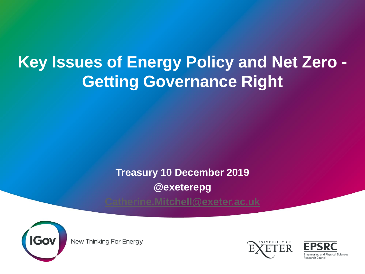#### **Key Issues of Energy Policy and Net Zero - Getting Governance Right**

**Treasury 10 December 2019**

**@exeterepg**

**[Catherine.Mitchell@exeter.ac.uk](mailto:Catherine.Mitchell@exeter.ac.uk)**



New Thinking For Energy



Engineering and Physical Sciences Research Counci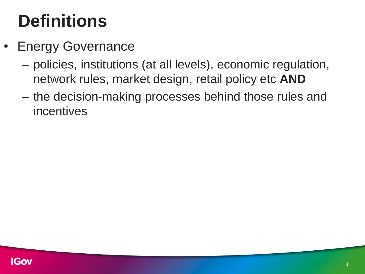### **Definitions**

- Energy Governance
	- policies, institutions (at all levels), economic regulation, network rules, market design, retail policy etc **AND**
	- the decision-making processes behind those rules and incentives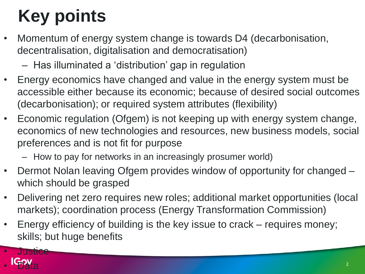# **Key points**

- Momentum of energy system change is towards D4 (decarbonisation, decentralisation, digitalisation and democratisation)
	- Has illuminated a 'distribution' gap in regulation
- Energy economics have changed and value in the energy system must be accessible either because its economic; because of desired social outcomes (decarbonisation); or required system attributes (flexibility)
- Economic regulation (Ofgem) is not keeping up with energy system change, economics of new technologies and resources, new business models, social preferences and is not fit for purpose
	- How to pay for networks in an increasingly prosumer world)
- Dermot Nolan leaving Ofgem provides window of opportunity for changed which should be grasped
- Delivering net zero requires new roles; additional market opportunities (local markets); coordination process (Energy Transformation Commission)
- Energy efficiency of building is the key issue to crack requires money; skills; but huge benefits

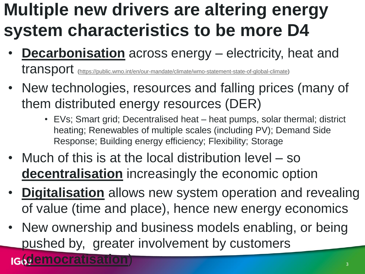#### **Multiple new drivers are altering energy system characteristics to be more D4**

- **Decarbonisation** across energy electricity, heat and transport ([https://public.wmo.int/en/our-mandate/climate/wmo-statement-state-of-global-climate\)](https://public.wmo.int/en/our-mandate/climate/wmo-statement-state-of-global-climate)
- New technologies, resources and falling prices (many of them distributed energy resources (DER)
	- EVs; Smart grid; Decentralised heat heat pumps, solar thermal; district heating; Renewables of multiple scales (including PV); Demand Side Response; Building energy efficiency; Flexibility; Storage
- Much of this is at the local distribution level so **decentralisation** increasingly the economic option
- **Digitalisation** allows new system operation and revealing of value (time and place), hence new energy economics
- New ownership and business models enabling, or being pushed by, greater involvement by customers

(**democratisation**)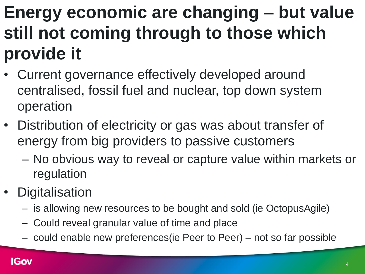#### **Energy economic are changing – but value still not coming through to those which provide it**

- Current governance effectively developed around centralised, fossil fuel and nuclear, top down system operation
- Distribution of electricity or gas was about transfer of energy from big providers to passive customers
	- No obvious way to reveal or capture value within markets or regulation
- Digitalisation
	- is allowing new resources to be bought and sold (ie OctopusAgile)
	- Could reveal granular value of time and place
	- could enable new preferences(ie Peer to Peer) not so far possible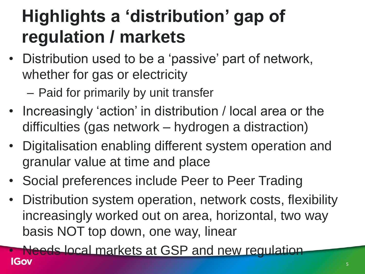## **Highlights a 'distribution' gap of regulation / markets**

- Distribution used to be a 'passive' part of network, whether for gas or electricity
	- Paid for primarily by unit transfer
- Increasingly 'action' in distribution / local area or the difficulties (gas network – hydrogen a distraction)
- Digitalisation enabling different system operation and granular value at time and place
- Social preferences include Peer to Peer Trading
- Distribution system operation, network costs, flexibility increasingly worked out on area, horizontal, two way basis NOT top down, one way, linear

• Needs local markets at GSP and new regulation **IGov**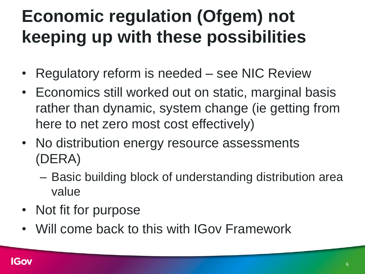### **Economic regulation (Ofgem) not keeping up with these possibilities**

- Regulatory reform is needed see NIC Review
- Economics still worked out on static, marginal basis rather than dynamic, system change (ie getting from here to net zero most cost effectively)
- No distribution energy resource assessments (DERA)
	- Basic building block of understanding distribution area value
- Not fit for purpose
- Will come back to this with IGov Framework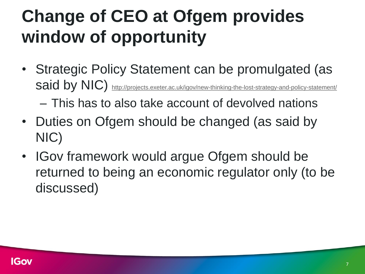### **Change of CEO at Ofgem provides window of opportunity**

• Strategic Policy Statement can be promulgated (as said by NIC) <http://projects.exeter.ac.uk/igov/new-thinking-the-lost-strategy-and-policy-statement/>

– This has to also take account of devolved nations

- Duties on Ofgem should be changed (as said by NIC)
- IGov framework would argue Ofgem should be returned to being an economic regulator only (to be discussed)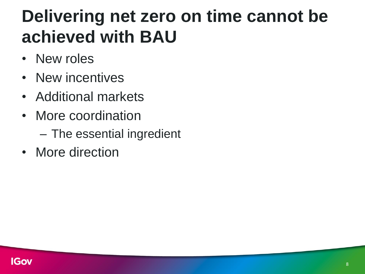#### **Delivering net zero on time cannot be achieved with BAU**

- New roles
- New incentives
- Additional markets
- More coordination
	- The essential ingredient
- More direction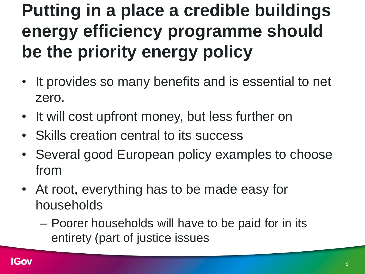#### **Putting in a place a credible buildings energy efficiency programme should be the priority energy policy**

- It provides so many benefits and is essential to net zero.
- It will cost upfront money, but less further on
- Skills creation central to its success
- Several good European policy examples to choose from
- At root, everything has to be made easy for households
	- Poorer households will have to be paid for in its entirety (part of justice issues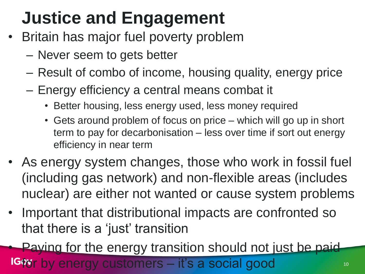### **Justice and Engagement**

- Britain has major fuel poverty problem
	- Never seem to gets better
	- Result of combo of income, housing quality, energy price
	- Energy efficiency a central means combat it
		- Better housing, less energy used, less money required
		- Gets around problem of focus on price which will go up in short term to pay for decarbonisation – less over time if sort out energy efficiency in near term
- As energy system changes, those who work in fossil fuel (including gas network) and non-flexible areas (includes nuclear) are either not wanted or cause system problems
- Important that distributional impacts are confronted so that there is a 'just' transition

Paying for the energy transition should not just be paid-

ir by energy customers – it's a social good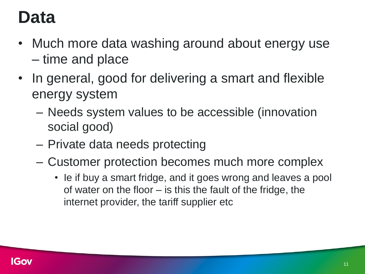#### **Data**

- Much more data washing around about energy use – time and place
- In general, good for delivering a smart and flexible energy system
	- Needs system values to be accessible (innovation social good)
	- Private data needs protecting
	- Customer protection becomes much more complex
		- Ie if buy a smart fridge, and it goes wrong and leaves a pool of water on the floor – is this the fault of the fridge, the internet provider, the tariff supplier etc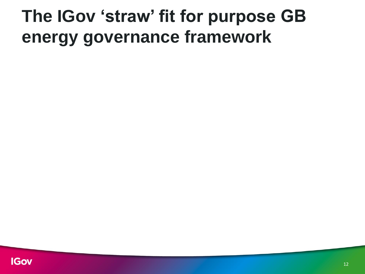#### **The IGov 'straw' fit for purpose GB energy governance framework**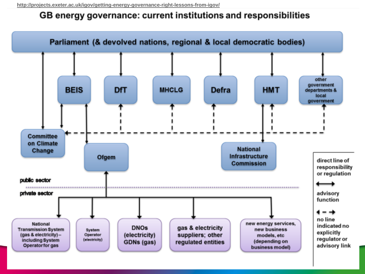#### GB energy governance: current institutions and responsibilities

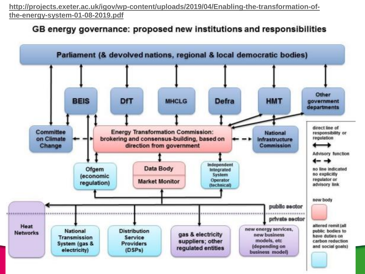**[http://projects.exeter.ac.uk/igov/wp-content/uploads/2019/04/Enabling-the-transformation-of](http://projects.exeter.ac.uk/igov/wp-content/uploads/2019/04/Enabling-the-transformation-of-the-energy-system-01-08-2019.pdf)the-energy-system-01-08-2019.pdf**

#### GB energy governance: proposed new institutions and responsibilities

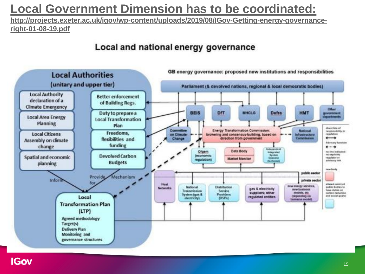#### **[Local Government Dimension has to be coordinated:](http://projects.exeter.ac.uk/igov/wp-content/uploads/2019/08/IGov-Getting-energy-governance-right-01-08-19.pdf)**

**http://projects.exeter.ac.uk/igov/wp-content/uploads/2019/08/IGov-Getting-energy-governanceright-01-08-19.pdf**

#### Local and national energy governance

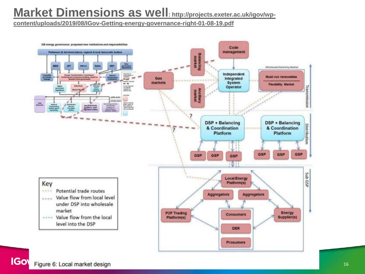#### **[Market Dimensions as well](http://projects.exeter.ac.uk/igov/wp-content/uploads/2019/08/IGov-Getting-energy-governance-right-01-08-19.pdf): http://projects.exeter.ac.uk/igov/wp-**

**content/uploads/2019/08/IGov-Getting-energy-governance-right-01-08-19.pdf**

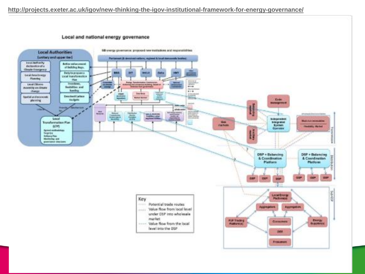Local and national energy governance

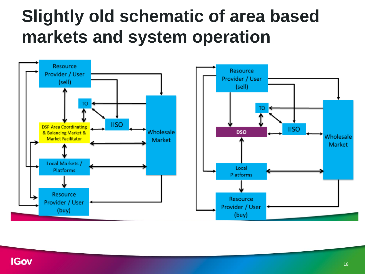#### **Slightly old schematic of area based markets and system operation**

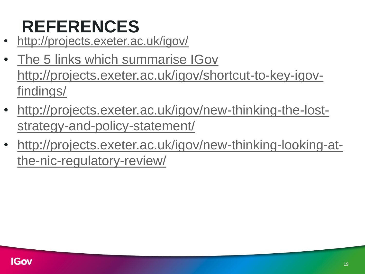## **REFERENCES**

- <http://projects.exeter.ac.uk/igov/>
- The 5 links which summarise IGov [http://projects.exeter.ac.uk/igov/shortcut-to-key-igov](http://projects.exeter.ac.uk/igov/shortcut-to-key-igov-findings/)findings/
- [http://projects.exeter.ac.uk/igov/new-thinking-the-lost](http://projects.exeter.ac.uk/igov/new-thinking-the-lost-strategy-and-policy-statement/)strategy-and-policy-statement/
- [http://projects.exeter.ac.uk/igov/new-thinking-looking-at](http://projects.exeter.ac.uk/igov/new-thinking-looking-at-the-nic-regulatory-review/)the-nic-regulatory-review/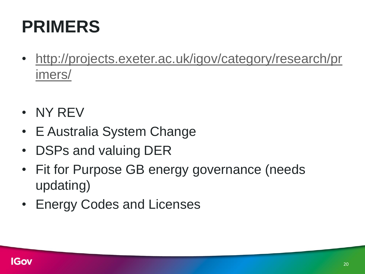### **PRIMERS**

- [http://projects.exeter.ac.uk/igov/category/research/pr](http://projects.exeter.ac.uk/igov/category/research/primers/) imers/
- NY REV
- E Australia System Change
- DSPs and valuing DER
- Fit for Purpose GB energy governance (needs updating)
- Energy Codes and Licenses